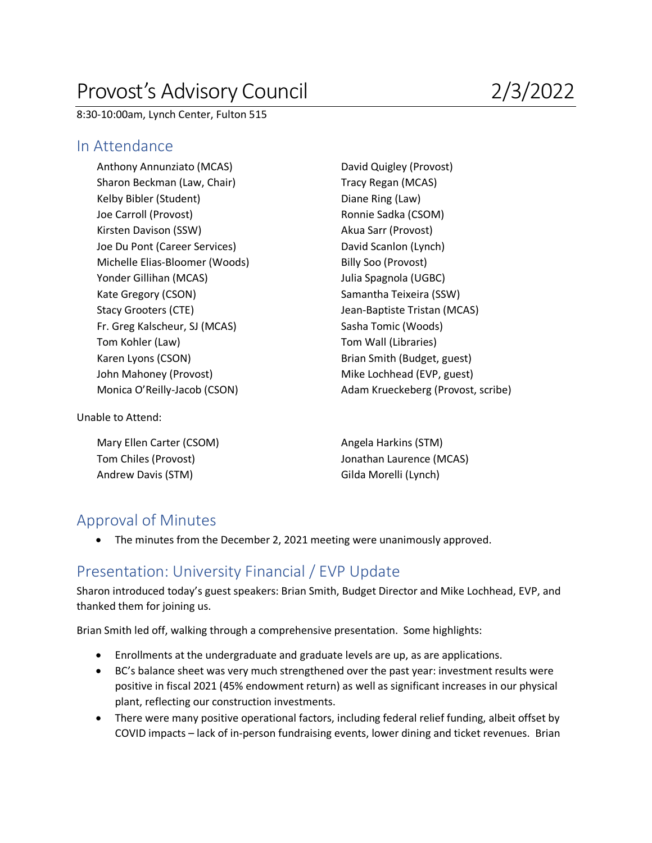# Provost's Advisory Council 2/3/2022

8:30-10:00am, Lynch Center, Fulton 515

#### In Attendance

Anthony Annunziato (MCAS) David Quigley (Provost) Sharon Beckman (Law, Chair) Tracy Regan (MCAS) Kelby Bibler (Student) Diane Ring (Law) Joe Carroll (Provost) **Ronnie Sadka (CSOM)** Kirsten Davison (SSW) Akua Sarr (Provost) Joe Du Pont (Career Services) David Scanlon (Lynch) Michelle Elias-Bloomer (Woods) Billy Soo (Provost) Yonder Gillihan (MCAS) and the Spagnola (UGBC) Julia Spagnola (UGBC) Kate Gregory (CSON) Samantha Teixeira (SSW) Stacy Grooters (CTE) Stacy Grooters (CTE) and Stacy Grooters (CTE) and Stack Jean-Baptiste Tristan (MCAS) Fr. Greg Kalscheur, SJ (MCAS) Sasha Tomic (Woods) Tom Kohler (Law) Tom Wall (Libraries) Karen Lyons (CSON) **Brian Smith (Budget, guest)** John Mahoney (Provost) Mike Lochhead (EVP, guest)

Monica O'Reilly-Jacob (CSON) Adam Krueckeberg (Provost, scribe)

Unable to Attend:

Mary Ellen Carter (CSOM) Mary Ellen Carter (CSOM) Andrew Davis (STM) Gilda Morelli (Lynch)

Tom Chiles (Provost) Jonathan Laurence (MCAS)

## Approval of Minutes

• The minutes from the December 2, 2021 meeting were unanimously approved.

## Presentation: University Financial / EVP Update

Sharon introduced today's guest speakers: Brian Smith, Budget Director and Mike Lochhead, EVP, and thanked them for joining us.

Brian Smith led off, walking through a comprehensive presentation. Some highlights:

- Enrollments at the undergraduate and graduate levels are up, as are applications.
- BC's balance sheet was very much strengthened over the past year: investment results were positive in fiscal 2021 (45% endowment return) as well as significant increases in our physical plant, reflecting our construction investments.
- There were many positive operational factors, including federal relief funding, albeit offset by COVID impacts – lack of in-person fundraising events, lower dining and ticket revenues. Brian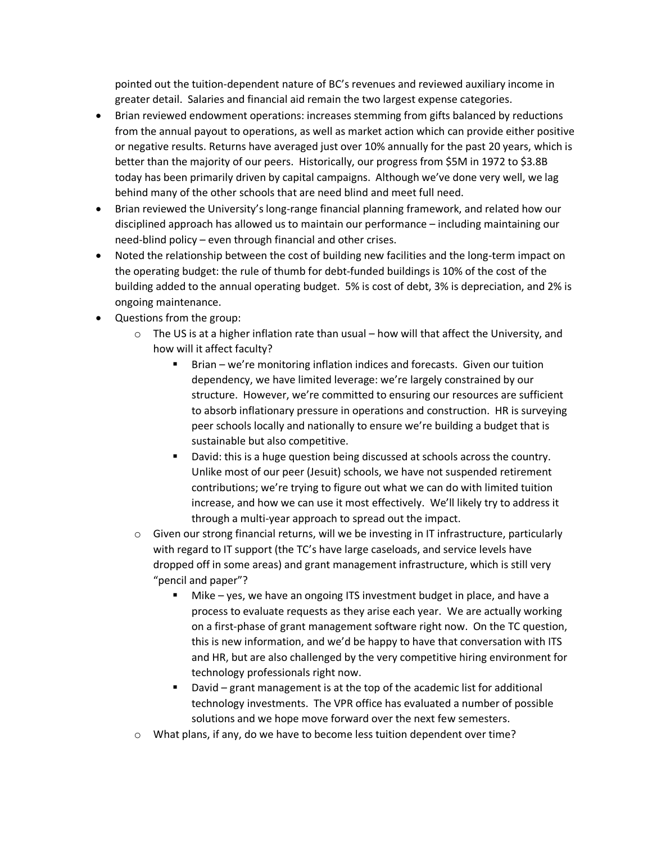pointed out the tuition-dependent nature of BC's revenues and reviewed auxiliary income in greater detail. Salaries and financial aid remain the two largest expense categories.

- Brian reviewed endowment operations: increases stemming from gifts balanced by reductions from the annual payout to operations, as well as market action which can provide either positive or negative results. Returns have averaged just over 10% annually for the past 20 years, which is better than the majority of our peers. Historically, our progress from \$5M in 1972 to \$3.8B today has been primarily driven by capital campaigns. Although we've done very well, we lag behind many of the other schools that are need blind and meet full need.
- Brian reviewed the University's long-range financial planning framework, and related how our disciplined approach has allowed us to maintain our performance – including maintaining our need-blind policy – even through financial and other crises.
- Noted the relationship between the cost of building new facilities and the long-term impact on the operating budget: the rule of thumb for debt-funded buildings is 10% of the cost of the building added to the annual operating budget. 5% is cost of debt, 3% is depreciation, and 2% is ongoing maintenance.
- Questions from the group:
	- $\circ$  The US is at a higher inflation rate than usual how will that affect the University, and how will it affect faculty?
		- § Brian we're monitoring inflation indices and forecasts. Given our tuition dependency, we have limited leverage: we're largely constrained by our structure. However, we're committed to ensuring our resources are sufficient to absorb inflationary pressure in operations and construction. HR is surveying peer schools locally and nationally to ensure we're building a budget that is sustainable but also competitive.
		- David: this is a huge question being discussed at schools across the country. Unlike most of our peer (Jesuit) schools, we have not suspended retirement contributions; we're trying to figure out what we can do with limited tuition increase, and how we can use it most effectively. We'll likely try to address it through a multi-year approach to spread out the impact.
	- $\circ$  Given our strong financial returns, will we be investing in IT infrastructure, particularly with regard to IT support (the TC's have large caseloads, and service levels have dropped off in some areas) and grant management infrastructure, which is still very "pencil and paper"?
		- § Mike yes, we have an ongoing ITS investment budget in place, and have a process to evaluate requests as they arise each year. We are actually working on a first-phase of grant management software right now. On the TC question, this is new information, and we'd be happy to have that conversation with ITS and HR, but are also challenged by the very competitive hiring environment for technology professionals right now.
		- § David grant management is at the top of the academic list for additional technology investments. The VPR office has evaluated a number of possible solutions and we hope move forward over the next few semesters.
	- $\circ$  What plans, if any, do we have to become less tuition dependent over time?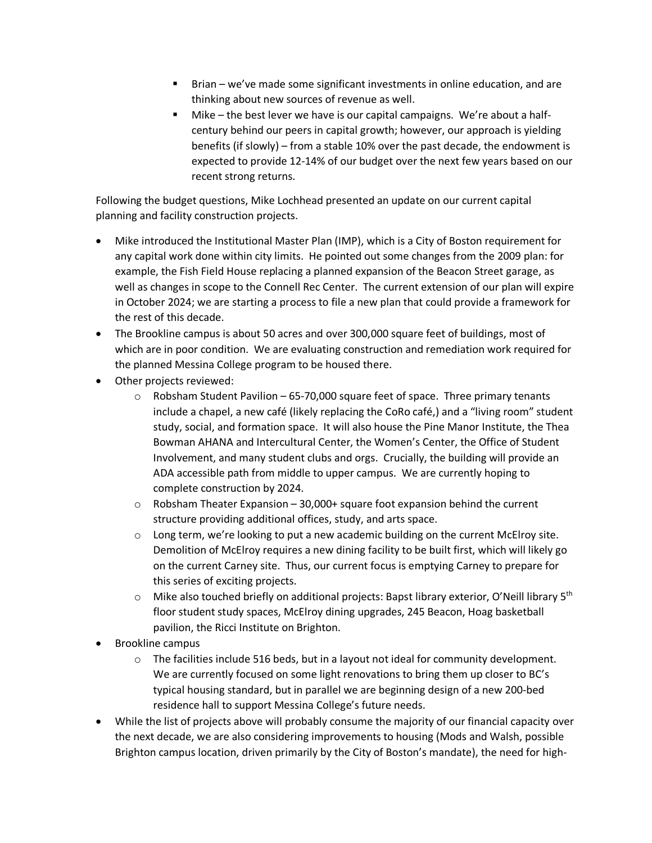- § Brian we've made some significant investments in online education, and are thinking about new sources of revenue as well.
- Mike the best lever we have is our capital campaigns. We're about a halfcentury behind our peers in capital growth; however, our approach is yielding benefits (if slowly) – from a stable 10% over the past decade, the endowment is expected to provide 12-14% of our budget over the next few years based on our recent strong returns.

Following the budget questions, Mike Lochhead presented an update on our current capital planning and facility construction projects.

- Mike introduced the Institutional Master Plan (IMP), which is a City of Boston requirement for any capital work done within city limits. He pointed out some changes from the 2009 plan: for example, the Fish Field House replacing a planned expansion of the Beacon Street garage, as well as changes in scope to the Connell Rec Center. The current extension of our plan will expire in October 2024; we are starting a process to file a new plan that could provide a framework for the rest of this decade.
- The Brookline campus is about 50 acres and over 300,000 square feet of buildings, most of which are in poor condition. We are evaluating construction and remediation work required for the planned Messina College program to be housed there.
- Other projects reviewed:
	- $\circ$  Robsham Student Pavilion 65-70,000 square feet of space. Three primary tenants include a chapel, a new café (likely replacing the CoRo café,) and a "living room" student study, social, and formation space. It will also house the Pine Manor Institute, the Thea Bowman AHANA and Intercultural Center, the Women's Center, the Office of Student Involvement, and many student clubs and orgs. Crucially, the building will provide an ADA accessible path from middle to upper campus. We are currently hoping to complete construction by 2024.
	- $\circ$  Robsham Theater Expansion 30,000+ square foot expansion behind the current structure providing additional offices, study, and arts space.
	- $\circ$  Long term, we're looking to put a new academic building on the current McElroy site. Demolition of McElroy requires a new dining facility to be built first, which will likely go on the current Carney site. Thus, our current focus is emptying Carney to prepare for this series of exciting projects.
	- $\circ$  Mike also touched briefly on additional projects: Bapst library exterior, O'Neill library 5<sup>th</sup> floor student study spaces, McElroy dining upgrades, 245 Beacon, Hoag basketball pavilion, the Ricci Institute on Brighton.
- Brookline campus
	- $\circ$  The facilities include 516 beds, but in a layout not ideal for community development. We are currently focused on some light renovations to bring them up closer to BC's typical housing standard, but in parallel we are beginning design of a new 200-bed residence hall to support Messina College's future needs.
- While the list of projects above will probably consume the majority of our financial capacity over the next decade, we are also considering improvements to housing (Mods and Walsh, possible Brighton campus location, driven primarily by the City of Boston's mandate), the need for high-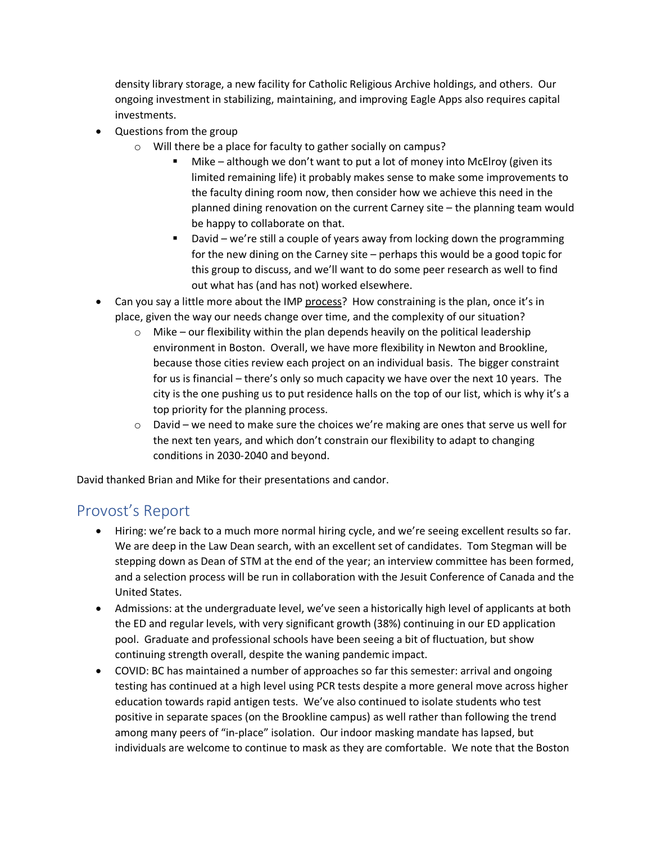density library storage, a new facility for Catholic Religious Archive holdings, and others. Our ongoing investment in stabilizing, maintaining, and improving Eagle Apps also requires capital investments.

- Questions from the group
	- o Will there be a place for faculty to gather socially on campus?
		- Mike although we don't want to put a lot of money into McElroy (given its limited remaining life) it probably makes sense to make some improvements to the faculty dining room now, then consider how we achieve this need in the planned dining renovation on the current Carney site – the planning team would be happy to collaborate on that.
		- David we're still a couple of years away from locking down the programming for the new dining on the Carney site – perhaps this would be a good topic for this group to discuss, and we'll want to do some peer research as well to find out what has (and has not) worked elsewhere.
- Can you say a little more about the IMP process? How constraining is the plan, once it's in place, given the way our needs change over time, and the complexity of our situation?
	- $\circ$  Mike our flexibility within the plan depends heavily on the political leadership environment in Boston. Overall, we have more flexibility in Newton and Brookline, because those cities review each project on an individual basis. The bigger constraint for us is financial – there's only so much capacity we have over the next 10 years. The city is the one pushing us to put residence halls on the top of our list, which is why it's a top priority for the planning process.
	- o David we need to make sure the choices we're making are ones that serve us well for the next ten years, and which don't constrain our flexibility to adapt to changing conditions in 2030-2040 and beyond.

David thanked Brian and Mike for their presentations and candor.

#### Provost's Report

- Hiring: we're back to a much more normal hiring cycle, and we're seeing excellent results so far. We are deep in the Law Dean search, with an excellent set of candidates. Tom Stegman will be stepping down as Dean of STM at the end of the year; an interview committee has been formed, and a selection process will be run in collaboration with the Jesuit Conference of Canada and the United States.
- Admissions: at the undergraduate level, we've seen a historically high level of applicants at both the ED and regular levels, with very significant growth (38%) continuing in our ED application pool. Graduate and professional schools have been seeing a bit of fluctuation, but show continuing strength overall, despite the waning pandemic impact.
- COVID: BC has maintained a number of approaches so far this semester: arrival and ongoing testing has continued at a high level using PCR tests despite a more general move across higher education towards rapid antigen tests. We've also continued to isolate students who test positive in separate spaces (on the Brookline campus) as well rather than following the trend among many peers of "in-place" isolation. Our indoor masking mandate has lapsed, but individuals are welcome to continue to mask as they are comfortable. We note that the Boston